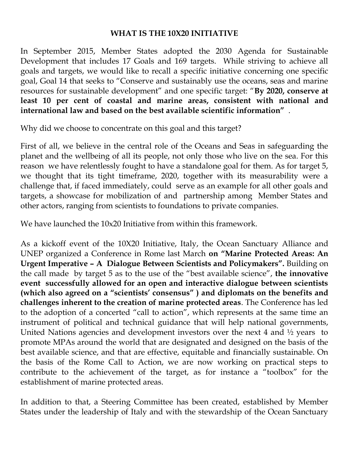## **WHAT IS THE 10X20 INITIATIVE**

In September 2015, Member States adopted the 2030 Agenda for Sustainable Development that includes 17 Goals and 169 targets. While striving to achieve all goals and targets, we would like to recall a specific initiative concerning one specific goal, Goal 14 that seeks to "Conserve and sustainably use the oceans, seas and marine resources for sustainable development" and one specific target: "**By 2020, conserve at least 10 per cent of coastal and marine areas, consistent with national and international law and based on the best available scientific information"** .

Why did we choose to concentrate on this goal and this target?

First of all, we believe in the central role of the Oceans and Seas in safeguarding the planet and the wellbeing of all its people, not only those who live on the sea. For this reason we have relentlessly fought to have a standalone goal for them. As for target 5, we thought that its tight timeframe, 2020, together with its measurability were a challenge that, if faced immediately, could serve as an example for all other goals and targets, a showcase for mobilization of and partnership among Member States and other actors, ranging from scientists to foundations to private companies.

We have launched the 10x20 Initiative from within this framework.

As a kickoff event of the 10X20 Initiative, Italy, the Ocean Sanctuary Alliance and UNEP organized a Conference in Rome last March **on "Marine Protected Areas: An Urgent Imperative – A Dialogue Between Scientists and Policymakers".** Building on the call made by target 5 as to the use of the "best available science", **the innovative event successfully allowed for an open and interactive dialogue between scientists (which also agreed on a "scientists' consensus" ) and diplomats on the benefits and challenges inherent to the creation of marine protected areas**. The Conference has led to the adoption of a concerted "call to action", which represents at the same time an instrument of political and technical guidance that will help national governments, United Nations agencies and development investors over the next 4 and ½ years to promote MPAs around the world that are designated and designed on the basis of the best available science, and that are effective, equitable and financially sustainable. On the basis of the Rome Call to Action, we are now working on practical steps to contribute to the achievement of the target, as for instance a "toolbox" for the establishment of marine protected areas.

In addition to that, a Steering Committee has been created, established by Member States under the leadership of Italy and with the stewardship of the Ocean Sanctuary